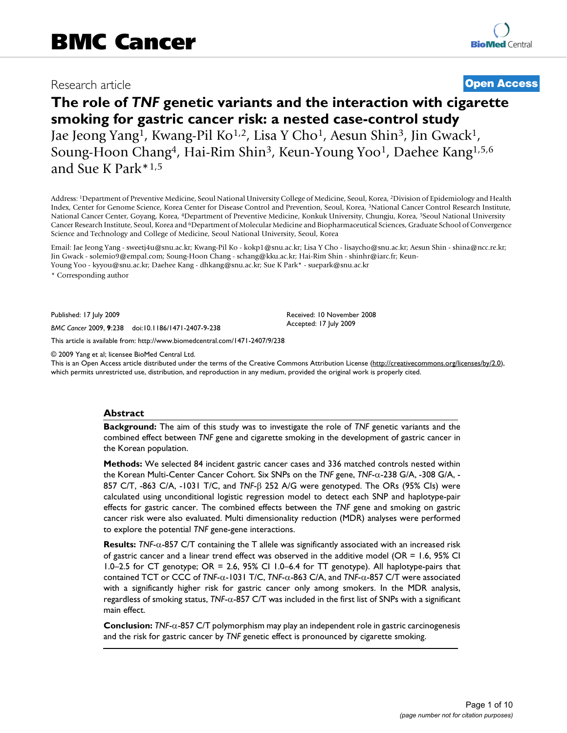# Research article **[Open Access](http://www.biomedcentral.com/info/about/charter/)**

# **The role of** *TNF* **genetic variants and the interaction with cigarette smoking for gastric cancer risk: a nested case-control study** Jae Jeong Yang1, Kwang-Pil Ko1,2, Lisa Y Cho1, Aesun Shin3, Jin Gwack1, Soung-Hoon Chang4, Hai-Rim Shin3, Keun-Young Yoo1, Daehee Kang1,5,6 and Sue K Park\*1,5

Address: 1Department of Preventive Medicine, Seoul National University College of Medicine, Seoul, Korea, 2Division of Epidemiology and Health Index, Center for Genome Science, Korea Center for Disease Control and Prevention, Seoul, Korea, 3National Cancer Control Research Institute, National Cancer Center, Goyang, Korea, 4Department of Preventive Medicine, Konkuk University, Chungju, Korea, 5Seoul National University Cancer Research Institute, Seoul, Korea and 6Department of Molecular Medicine and Biopharmaceutical Sciences, Graduate School of Convergence Science and Technology and College of Medicine, Seoul National University, Seoul, Korea

Email: Jae Jeong Yang - sweetj4u@snu.ac.kr; Kwang-Pil Ko - kokp1@snu.ac.kr; Lisa Y Cho - lisaycho@snu.ac.kr; Aesun Shin - shina@ncc.re.kr; Jin Gwack - solemio9@empal.com; Soung-Hoon Chang - schang@kku.ac.kr; Hai-Rim Shin - shinhr@iarc.fr; Keun-Young Yoo - kyyou@snu.ac.kr; Daehee Kang - dhkang@snu.ac.kr; Sue K Park\* - suepark@snu.ac.kr

> Received: 10 November 2008 Accepted: 17 July 2009

\* Corresponding author

Published: 17 July 2009

*BMC Cancer* 2009, **9**:238 doi:10.1186/1471-2407-9-238

[This article is available from: http://www.biomedcentral.com/1471-2407/9/238](http://www.biomedcentral.com/1471-2407/9/238)

© 2009 Yang et al; licensee BioMed Central Ltd.

This is an Open Access article distributed under the terms of the Creative Commons Attribution License [\(http://creativecommons.org/licenses/by/2.0\)](http://creativecommons.org/licenses/by/2.0), which permits unrestricted use, distribution, and reproduction in any medium, provided the original work is properly cited.

#### **Abstract**

**Background:** The aim of this study was to investigate the role of *TNF* genetic variants and the combined effect between *TNF* gene and cigarette smoking in the development of gastric cancer in the Korean population.

**Methods:** We selected 84 incident gastric cancer cases and 336 matched controls nested within the Korean Multi-Center Cancer Cohort. Six SNPs on the *TNF* gene, *TNF*-α-238 G/A, -308 G/A, - 857 C/T, -863 C/A, -1031 T/C, and *TNF*-β 252 A/G were genotyped. The ORs (95% CIs) were calculated using unconditional logistic regression model to detect each SNP and haplotype-pair effects for gastric cancer. The combined effects between the *TNF* gene and smoking on gastric cancer risk were also evaluated. Multi dimensionality reduction (MDR) analyses were performed to explore the potential *TNF* gene-gene interactions.

**Results:** *TNF*-α-857 C/T containing the T allele was significantly associated with an increased risk of gastric cancer and a linear trend effect was observed in the additive model (OR = 1.6, 95% CI 1.0–2.5 for CT genotype; OR = 2.6, 95% CI 1.0–6.4 for TT genotype). All haplotype-pairs that contained TCT or CCC of *TNF*-α-1031 T/C, *TNF*-α-863 C/A, and *TNF*-α-857 C/T were associated with a significantly higher risk for gastric cancer only among smokers. In the MDR analysis, regardless of smoking status, *TNF*-α-857 C/T was included in the first list of SNPs with a significant main effect.

**Conclusion:** *TNF*-α-857 C/T polymorphism may play an independent role in gastric carcinogenesis and the risk for gastric cancer by *TNF* genetic effect is pronounced by cigarette smoking.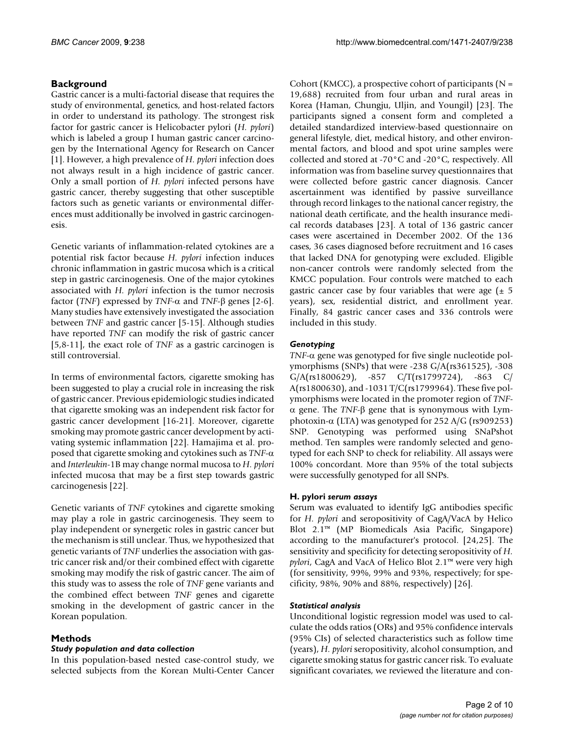# **Background**

Gastric cancer is a multi-factorial disease that requires the study of environmental, genetics, and host-related factors in order to understand its pathology. The strongest risk factor for gastric cancer is Helicobacter pylori (*H. pylori*) which is labeled a group I human gastric cancer carcinogen by the International Agency for Research on Cancer [1]. However, a high prevalence of *H. pylori* infection does not always result in a high incidence of gastric cancer. Only a small portion of *H. pylori* infected persons have gastric cancer, thereby suggesting that other susceptible factors such as genetic variants or environmental differences must additionally be involved in gastric carcinogenesis.

Genetic variants of inflammation-related cytokines are a potential risk factor because *H. pylori* infection induces chronic inflammation in gastric mucosa which is a critical step in gastric carcinogenesis. One of the major cytokines associated with *H. pylori* infection is the tumor necrosis factor (*TNF*) expressed by *TNF*-α and *TNF*-β genes [2-6]. Many studies have extensively investigated the association between *TNF* and gastric cancer [5-15]. Although studies have reported *TNF* can modify the risk of gastric cancer [5,8-11], the exact role of *TNF* as a gastric carcinogen is still controversial.

In terms of environmental factors, cigarette smoking has been suggested to play a crucial role in increasing the risk of gastric cancer. Previous epidemiologic studies indicated that cigarette smoking was an independent risk factor for gastric cancer development [16-21]. Moreover, cigarette smoking may promote gastric cancer development by activating systemic inflammation [22]. Hamajima et al. proposed that cigarette smoking and cytokines such as *TNF*-α and *Interleukin*-1B may change normal mucosa to *H. pylori* infected mucosa that may be a first step towards gastric carcinogenesis [22].

Genetic variants of *TNF* cytokines and cigarette smoking may play a role in gastric carcinogenesis. They seem to play independent or synergetic roles in gastric cancer but the mechanism is still unclear. Thus, we hypothesized that genetic variants of *TNF* underlies the association with gastric cancer risk and/or their combined effect with cigarette smoking may modify the risk of gastric cancer. The aim of this study was to assess the role of *TNF* gene variants and the combined effect between *TNF* genes and cigarette smoking in the development of gastric cancer in the Korean population.

### **Methods**

### *Study population and data collection*

In this population-based nested case-control study, we selected subjects from the Korean Multi-Center Cancer Cohort (KMCC), a prospective cohort of participants ( $N =$ 19,688) recruited from four urban and rural areas in Korea (Haman, Chungju, Uljin, and Youngil) [23]. The participants signed a consent form and completed a detailed standardized interview-based questionnaire on general lifestyle, diet, medical history, and other environmental factors, and blood and spot urine samples were collected and stored at -70°C and -20°C, respectively. All information was from baseline survey questionnaires that were collected before gastric cancer diagnosis. Cancer ascertainment was identified by passive surveillance through record linkages to the national cancer registry, the national death certificate, and the health insurance medical records databases [23]. A total of 136 gastric cancer cases were ascertained in December 2002. Of the 136 cases, 36 cases diagnosed before recruitment and 16 cases that lacked DNA for genotyping were excluded. Eligible non-cancer controls were randomly selected from the KMCC population. Four controls were matched to each gastric cancer case by four variables that were age  $(\pm 5)$ years), sex, residential district, and enrollment year. Finally, 84 gastric cancer cases and 336 controls were included in this study.

# *Genotyping*

*TNF*-α gene was genotyped for five single nucleotide polymorphisms (SNPs) that were -238 G/A(rs361525), -308 G/A(rs1800629), -857 C/T(rs1799724), -863 C/ A(rs1800630), and -1031 T/C(rs1799964). These five polymorphisms were located in the promoter region of *TNF*α gene. The *TNF*-β gene that is synonymous with Lymphotoxin-α (LTA) was genotyped for 252 A/G (rs909253) SNP. Genotyping was performed using SNaPshot method. Ten samples were randomly selected and genotyped for each SNP to check for reliability. All assays were 100% concordant. More than 95% of the total subjects were successfully genotyped for all SNPs.

### **H. pylori** *serum assays*

Serum was evaluated to identify IgG antibodies specific for *H. pylori* and seropositivity of CagA/VacA by Helico Blot 2.1™ (MP Biomedicals Asia Pacific, Singapore) according to the manufacturer's protocol. [24,25]. The sensitivity and specificity for detecting seropositivity of *H. pylori*, CagA and VacA of Helico Blot 2.1™ were very high (for sensitivity, 99%, 99% and 93%, respectively; for specificity, 98%, 90% and 88%, respectively) [26].

### *Statistical analysis*

Unconditional logistic regression model was used to calculate the odds ratios (ORs) and 95% confidence intervals (95% CIs) of selected characteristics such as follow time (years), *H. pylori* seropositivity, alcohol consumption, and cigarette smoking status for gastric cancer risk. To evaluate significant covariates, we reviewed the literature and con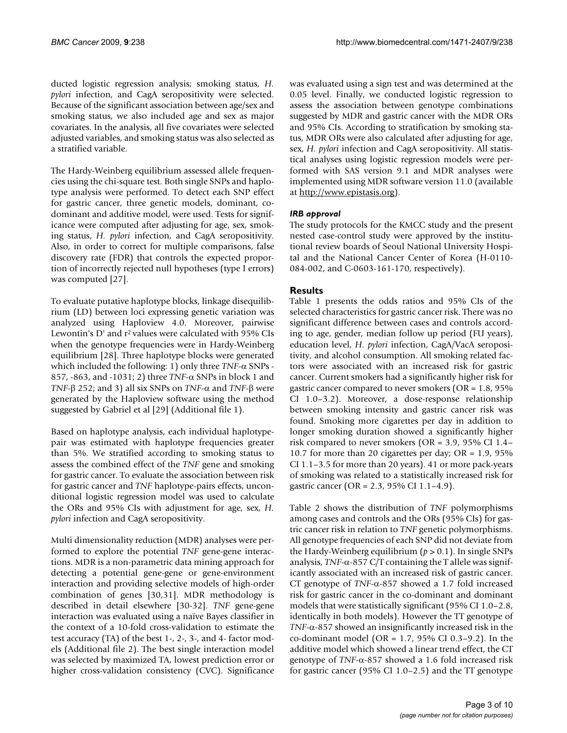ducted logistic regression analysis; smoking status, *H. pylori* infection, and CagA seropositivity were selected. Because of the significant association between age/sex and smoking status, we also included age and sex as major covariates. In the analysis, all five covariates were selected adjusted variables, and smoking status was also selected as a stratified variable.

The Hardy-Weinberg equilibrium assessed allele frequencies using the chi-square test. Both single SNPs and haplotype analysis were performed. To detect each SNP effect for gastric cancer, three genetic models, dominant, codominant and additive model, were used. Tests for significance were computed after adjusting for age, sex, smoking status, *H. pylori* infection, and CagA seropositivity. Also, in order to correct for multiple comparisons, false discovery rate (FDR) that controls the expected proportion of incorrectly rejected null hypotheses (type I errors) was computed [27].

To evaluate putative haplotype blocks, linkage disequilibrium (LD) between loci expressing genetic variation was analyzed using Haploview 4.0. Moreover, pairwise Lewontin's D' and r<sup>2</sup> values were calculated with 95% CIs when the genotype frequencies were in Hardy-Weinberg equilibrium [28]. Three haplotype blocks were generated which included the following: 1) only three *TNF*-α SNPs - 857, -863, and -1031; 2) three *TNF*-α SNPs in block 1 and *TNF*-β 252; and 3) all six SNPs on *TNF*-α and *TNF*-β were generated by the Haploview software using the method suggested by Gabriel et al [29] (Additional file 1).

Based on haplotype analysis, each individual haplotypepair was estimated with haplotype frequencies greater than 5%. We stratified according to smoking status to assess the combined effect of the *TNF* gene and smoking for gastric cancer. To evaluate the association between risk for gastric cancer and *TNF* haplotype-pairs effects, unconditional logistic regression model was used to calculate the ORs and 95% CIs with adjustment for age, sex, *H. pylori* infection and CagA seropositivity.

Multi dimensionality reduction (MDR) analyses were performed to explore the potential *TNF* gene-gene interactions. MDR is a non-parametric data mining approach for detecting a potential gene-gene or gene-environment interaction and providing selective models of high-order combination of genes [30,31]. MDR methodology is described in detail elsewhere [30-32]. *TNF* gene-gene interaction was evaluated using a naïve Bayes classifier in the context of a 10-fold cross-validation to estimate the test accuracy (TA) of the best 1-, 2-, 3-, and 4- factor models (Additional file 2). The best single interaction model was selected by maximized TA, lowest prediction error or higher cross-validation consistency (CVC). Significance was evaluated using a sign test and was determined at the 0.05 level. Finally, we conducted logistic regression to assess the association between genotype combinations suggested by MDR and gastric cancer with the MDR ORs and 95% CIs. According to stratification by smoking status, MDR ORs were also calculated after adjusting for age, sex, *H. pylori* infection and CagA seropositivity. All statistical analyses using logistic regression models were performed with SAS version 9.1 and MDR analyses were implemented using MDR software version 11.0 (available at [http://www.epistasis.org\)](http://www.epistasis.org).

### *IRB approval*

The study protocols for the KMCC study and the present nested case-control study were approved by the institutional review boards of Seoul National University Hospital and the National Cancer Center of Korea (H-0110- 084-002, and C-0603-161-170, respectively).

# **Results**

Table 1 presents the odds ratios and 95% CIs of the selected characteristics for gastric cancer risk. There was no significant difference between cases and controls according to age, gender, median follow up period (FU years), education level, *H. pylori* infection, CagA/VacA seropositivity, and alcohol consumption. All smoking related factors were associated with an increased risk for gastric cancer. Current smokers had a significantly higher risk for gastric cancer compared to never smokers (OR = 1.8, 95% CI 1.0–3.2). Moreover, a dose-response relationship between smoking intensity and gastric cancer risk was found. Smoking more cigarettes per day in addition to longer smoking duration showed a significantly higher risk compared to never smokers (OR = 3.9, 95% CI 1.4– 10.7 for more than 20 cigarettes per day; OR = 1.9, 95% CI 1.1–3.5 for more than 20 years). 41 or more pack-years of smoking was related to a statistically increased risk for gastric cancer (OR = 2.3, 95% CI 1.1–4.9).

Table 2 shows the distribution of *TNF* polymorphisms among cases and controls and the ORs (95% CIs) for gastric cancer risk in relation to *TNF* genetic polymorphisms. All genotype frequencies of each SNP did not deviate from the Hardy-Weinberg equilibrium  $(p > 0.1)$ . In single SNPs analysis, *TNF*-α-857 C/T containing the T allele was significantly associated with an increased risk of gastric cancer. CT genotype of *TNF*-α-857 showed a 1.7 fold increased risk for gastric cancer in the co-dominant and dominant models that were statistically significant (95% CI 1.0–2.8, identically in both models). However the TT genotype of *TNF*-α-857 showed an insignificantly increased risk in the co-dominant model (OR = 1.7, 95% CI 0.3–9.2). In the additive model which showed a linear trend effect, the CT genotype of *TNF*-α-857 showed a 1.6 fold increased risk for gastric cancer (95% CI 1.0–2.5) and the TT genotype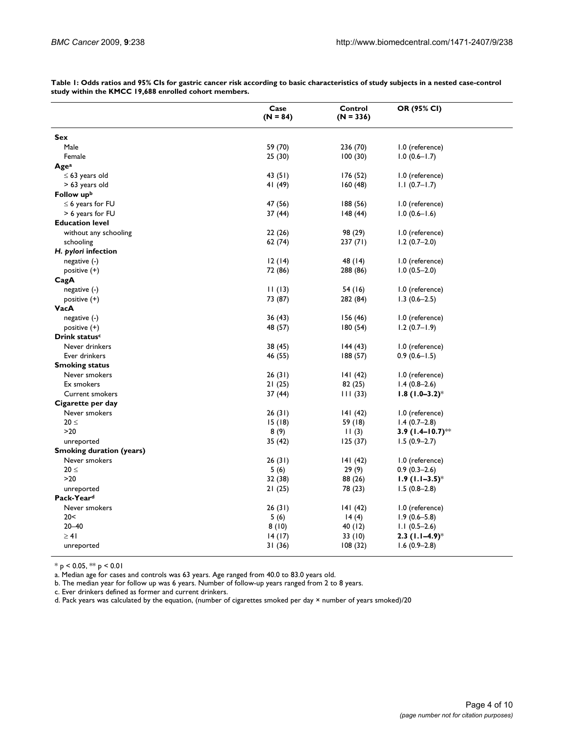|                                 | Case<br>$(N = 84)$ | Control<br>$(N = 336)$ | OR (95% CI)           |
|---------------------------------|--------------------|------------------------|-----------------------|
| Sex                             |                    |                        |                       |
| Male                            | 59 (70)            | 236 (70)               | 1.0 (reference)       |
| Female                          | 25(30)             | 100(30)                | $1.0(0.6 - 1.7)$      |
| Age <sup>a</sup>                |                    |                        |                       |
| $\leq 63$ years old             | 43(51)             | 176 (52)               | 1.0 (reference)       |
| > 63 years old                  | 41 (49)            | 160(48)                | $1.1(0.7-1.7)$        |
| Follow upb                      |                    |                        |                       |
| $\leq$ 6 years for FU           | 47 (56)            | 188(56)                | 1.0 (reference)       |
| > 6 years for FU                | 37(44)             | 148(44)                | $1.0(0.6-1.6)$        |
| <b>Education level</b>          |                    |                        |                       |
| without any schooling           | 22(26)             | 98 (29)                | 1.0 (reference)       |
| schooling                       | 62 (74)            | 237(71)                | $1.2(0.7-2.0)$        |
| H. pylori infection             |                    |                        |                       |
| $negative (-)$                  | 12(14)             | 48 (14)                | 1.0 (reference)       |
| positive (+)                    | 72 (86)            | 288 (86)               | $1.0(0.5-2.0)$        |
| CagA                            |                    |                        |                       |
| negative (-)                    | 11(13)             | 54 (16)                | 1.0 (reference)       |
| positive $(+)$                  | 73 (87)            | 282 (84)               | $1.3(0.6-2.5)$        |
| VacA                            |                    |                        |                       |
| $negative (-)$                  | 36 (43)            | 156 (46)               | 1.0 (reference)       |
| positive $(+)$                  | 48 (57)            | 180(54)                | $1.2(0.7 - 1.9)$      |
| Drink status <sup>c</sup>       |                    |                        |                       |
| Never drinkers                  | 38 (45)            | 144(43)                | 1.0 (reference)       |
| Ever drinkers                   | 46 (55)            | 188(57)                | $0.9(0.6 - 1.5)$      |
| <b>Smoking status</b>           |                    |                        |                       |
| Never smokers                   | 26(31)             | 141(42)                | 1.0 (reference)       |
| Ex smokers                      | 21 (25)            | 82 (25)                | $1.4(0.8-2.6)$        |
| Current smokers                 | 37 (44)            | 111(33)                | $1.8(1.0-3.2)$ *      |
| Cigarette per day               |                    |                        |                       |
| Never smokers                   | 26 (31)            | 141(42)                | 1.0 (reference)       |
| $20 \leq$                       | 15(18)             | 59 (18)                | $1.4(0.7-2.8)$        |
| $>20$                           | 8(9)               | 11(3)                  | 3.9 $(1.4 - 10.7)$ ** |
| unreported                      | 35 (42)            | 125(37)                | $1.5(0.9-2.7)$        |
| <b>Smoking duration (years)</b> |                    |                        |                       |
| Never smokers                   | 26 (31)            | 141 (42)               | 1.0 (reference)       |
| $20 \leq$                       | 5(6)               | 29(9)                  | $0.9(0.3-2.6)$        |
| >20                             | 32 (38)            | 88 (26)                | $1.9$ (1.1–3.5)*      |
| unreported                      | 21(25)             | 78 (23)                | $1.5(0.8-2.8)$        |
| Pack-Yeard                      |                    |                        |                       |
| Never smokers                   | 26(31)             | 141(42)                | 1.0 (reference)       |
| 20<                             | 5(6)               | 14(4)                  | $1.9(0.6 - 5.8)$      |
| $20 - 40$                       | 8(10)              | 40 (12)                | $1.1(0.5-2.6)$        |
| $\geq 41$                       | 14 (17)            | 33 (10)                | $2.3$ (1.1–4.9)*      |

 $14 (17)$   $33 (10)$  **2.3 (1.1–4.9)**\*

**Table 1: Odds ratios and 95% CIs for gastric cancer risk according to basic characteristics of study subjects in a nested case-control study within the KMCC 19,688 enrolled cohort members.**

 $*$  p < 0.05,  $**$  p < 0.01

a. Median age for cases and controls was 63 years. Age ranged from 40.0 to 83.0 years old.

b. The median year for follow up was 6 years. Number of follow-up years ranged from 2 to 8 years.

c. Ever drinkers defined as former and current drinkers.

d. Pack years was calculated by the equation, (number of cigarettes smoked per day × number of years smoked)/20

unreported 31 (36) 108 (32) 1.6 (0.9–2.8)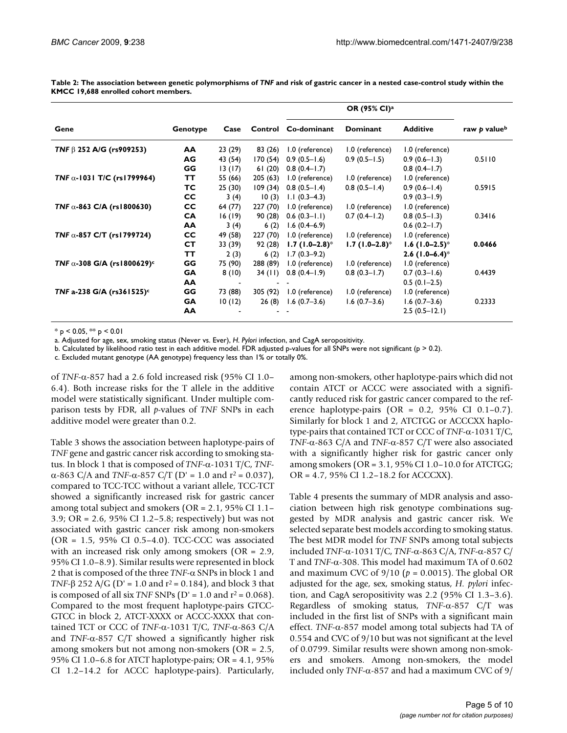**Table 2: The association between genetic polymorphisms of** *TNF* **and risk of gastric cancer in a nested case-control study within the KMCC 19,688 enrolled cohort members.**

|                                       |           | Case    |          |                             |                  |                              |              |
|---------------------------------------|-----------|---------|----------|-----------------------------|------------------|------------------------------|--------------|
| Gene                                  | Genotype  |         |          | Control Co-dominant         | Dominant         | <b>Additive</b>              | raw p valueb |
| TNF $\beta$ 252 A/G (rs909253)        | AA        | 23 (29) | 83 (26)  | 1.0 (reference)             | 1.0 (reference)  | 1.0 (reference)              |              |
|                                       | AG        | 43 (54) | 170(54)  | $0.9(0.5 - 1.6)$            | $0.9(0.5 - 1.5)$ | $0.9(0.6-1.3)$               | 0.5110       |
|                                       | GG        | 13(17)  | 61(20)   | $0.8(0.4-1.7)$              |                  | $0.8(0.4-1.7)$               |              |
| TNF $\alpha$ -1031 T/C (rs1799964)    | TΤ        | 55 (66) | 205(63)  | 1.0 (reference)             | 1.0 (reference)  | 1.0 (reference)              |              |
|                                       | тс        | 25(30)  | 109(34)  | $0.8(0.5-1.4)$              | $0.8(0.5 - 1.4)$ | $0.9(0.6-1.4)$               | 0.5915       |
|                                       | <b>CC</b> | 3(4)    | 10(3)    | $1.1(0.3-4.3)$              |                  | $0.9(0.3 - 1.9)$             |              |
| TNF $\alpha$ -863 C/A (rs1800630)     | <b>CC</b> | 64 (77) | 227 (70) | 1.0 (reference)             | 1.0 (reference)  | 1.0 (reference)              |              |
|                                       | <b>CA</b> | 16(19)  | 90 (28)  | $0.6(0.3 - 1.1)$            | $0.7(0.4-1.2)$   | $0.8(0.5-1.3)$               | 0.3416       |
|                                       | <b>AA</b> | 3(4)    | 6(2)     | $1.6(0.4-6.9)$              |                  | $0.6(0.2 - 1.7)$             |              |
| TNF $\alpha$ -857 C/T (rs1799724)     | <b>CC</b> | 49 (58) | 227 (70) | 1.0 (reference)             | 1.0 (reference)  | 1.0 (reference)              |              |
|                                       | CT.       | 33 (39) | 92 (28)  | $1.7(1.0-2.8)$ <sup>*</sup> | $1.7(1.0-2.8)$ * | $1.6$ (1.0–2.5) <sup>*</sup> | 0.0466       |
|                                       | TТ        | 2(3)    | 6(2)     | $1.7(0.3-9.2)$              |                  | 2.6 $(1.0-6.4)$ <sup>*</sup> |              |
| TNF $\alpha$ -308 G/A (rs1800629) $c$ | GG        | 75 (90) | 288 (89) | 1.0 (reference)             | 1.0 (reference)  | 1.0 (reference)              |              |
|                                       | <b>GA</b> | 8(10)   | 34(11)   | $0.8(0.4-1.9)$              | $0.8(0.3 - 1.7)$ | $0.7(0.3-1.6)$               | 0.4439       |
|                                       | AA        |         |          |                             |                  | $0.5(0.1-2.5)$               |              |
| TNF a-238 G/A (rs361525) <sup>c</sup> | GG        | 73 (88) | 305 (92) | 1.0 (reference)             | 1.0 (reference)  | 1.0 (reference)              |              |
|                                       | GA        | 10(12)  | 26(8)    | $1.6(0.7-3.6)$              | $1.6(0.7-3.6)$   | $1.6(0.7-3.6)$               | 0.2333       |
|                                       | AA        |         |          |                             |                  | $2.5(0.5-12.1)$              |              |

 $*$  p < 0.05,  $*$  p < 0.01

a. Adjusted for age, sex, smoking status (Never vs. Ever), *H. Pylori* infection, and CagA seropositivity.

b. Calculated by likelihood ratio test in each additive model. FDR adjusted p-values for all SNPs were not significant ( $p > 0.2$ ).

c. Excluded mutant genotype (AA genotype) frequency less than 1% or totally 0%.

of *TNF*-α-857 had a 2.6 fold increased risk (95% CI 1.0– 6.4). Both increase risks for the T allele in the additive model were statistically significant. Under multiple comparison tests by FDR, all *p*-values of *TNF* SNPs in each additive model were greater than 0.2.

Table 3 shows the association between haplotype-pairs of *TNF* gene and gastric cancer risk according to smoking status. In block 1 that is composed of *TNF*-α-1031 T/C, *TNF*α-863 C/A and *TNF-α-857 C*/T (D' = 1.0 and  $r^2$  = 0.037), compared to TCC-TCC without a variant allele, TCC-TCT showed a significantly increased risk for gastric cancer among total subject and smokers (OR = 2.1, 95% CI 1.1– 3.9; OR = 2.6, 95% CI 1.2–5.8; respectively) but was not associated with gastric cancer risk among non-smokers (OR = 1.5, 95% CI 0.5–4.0). TCC-CCC was associated with an increased risk only among smokers (OR = 2.9, 95% CI 1.0–8.9). Similar results were represented in block 2 that is composed of the three *TNF*-α SNPs in block 1 and *TNF-* $\beta$  252 A/G (D' = 1.0 and  $r^2$  = 0.184), and block 3 that is composed of all six *TNF* SNPs ( $D' = 1.0$  and  $r^2 = 0.068$ ). Compared to the most frequent haplotype-pairs GTCC-GTCC in block 2, ATCT-XXXX or ACCC-XXXX that contained TCT or CCC of *TNF*-α-1031 T/C, *TNF*-α-863 C/A and *TNF*-α-857 C/T showed a significantly higher risk among smokers but not among non-smokers (OR = 2.5, 95% CI 1.0–6.8 for ATCT haplotype-pairs; OR = 4.1, 95% CI 1.2–14.2 for ACCC haplotype-pairs). Particularly,

among non-smokers, other haplotype-pairs which did not contain ATCT or ACCC were associated with a significantly reduced risk for gastric cancer compared to the reference haplotype-pairs (OR = 0.2, 95% CI 0.1–0.7). Similarly for block 1 and 2, ATCTGG or ACCCXX haplotype-pairs that contained TCT or CCC of *TNF*-α-1031 T/C, *TNF*-α-863 C/A and *TNF*-α-857 C/T were also associated with a significantly higher risk for gastric cancer only among smokers (OR = 3.1, 95% CI 1.0–10.0 for ATCTGG; OR = 4.7, 95% CI 1.2–18.2 for ACCCXX).

Table 4 presents the summary of MDR analysis and association between high risk genotype combinations suggested by MDR analysis and gastric cancer risk. We selected separate best models according to smoking status. The best MDR model for *TNF* SNPs among total subjects included *TNF*-α-1031 T/C, *TNF*-α-863 C/A, *TNF*-α-857 C/ T and *TNF*-α-308. This model had maximum TA of 0.602 and maximum CVC of  $9/10$  ( $p = 0.0015$ ). The global OR adjusted for the age, sex, smoking status, *H. pylori* infection, and CagA seropositivity was 2.2 (95% CI 1.3–3.6). Regardless of smoking status, *TNF*-α-857 C/T was included in the first list of SNPs with a significant main effect. *TNF*-α-857 model among total subjects had TA of 0.554 and CVC of 9/10 but was not significant at the level of 0.0799. Similar results were shown among non-smokers and smokers. Among non-smokers, the model included only *TNF*-α-857 and had a maximum CVC of 9/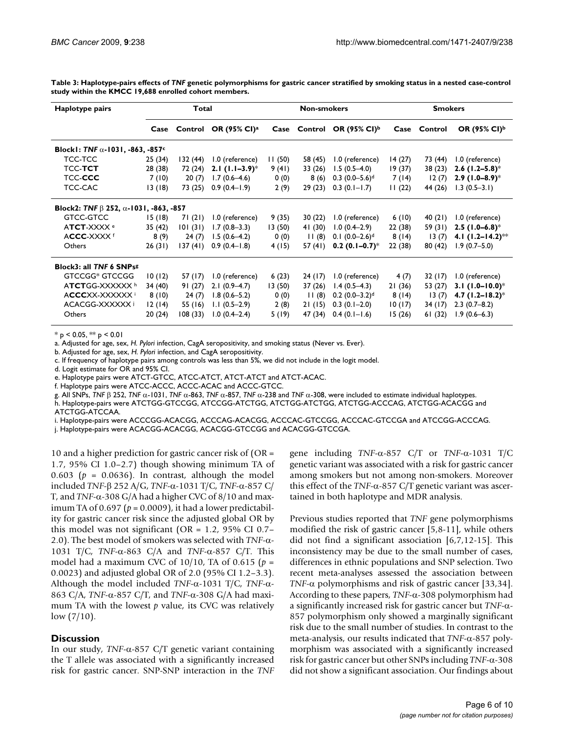| Haplotype pairs                                   | Total                                               |          |                                       | <b>Non-smokers</b> |              |                                | <b>Smokers</b> |              |                               |
|---------------------------------------------------|-----------------------------------------------------|----------|---------------------------------------|--------------------|--------------|--------------------------------|----------------|--------------|-------------------------------|
|                                                   |                                                     |          | Case Control OR (95% CI) <sup>a</sup> |                    | Case Control | OR (95% CI) <sup>b</sup>       |                | Case Control | OR (95% CI) <sup>b</sup>      |
| Block1: TNF $\alpha$ -1031, -863, -857 $\epsilon$ |                                                     |          |                                       |                    |              |                                |                |              |                               |
| TCC-TCC                                           | 25(34)                                              | 132 (44) | 1.0 (reference)                       | 11(50)             | 58 (45)      | 1.0 (reference)                | 14(27)         | 73 (44)      | 1.0 (reference)               |
| <b>TCC-TCT</b>                                    | 28 (38)                                             | 72 (24)  | 2.1 $(1.1-3.9)$ <sup>*</sup>          | 9(41)              | 33(26)       | $1.5(0.5-4.0)$                 | 19(37)         | 38(23)       | 2.6 $(1.2 - 5.8)^*$           |
| TCC-CCC                                           | 7(10)                                               | 20(7)    | $1.7(0.6-4.6)$                        | 0(0)               | 8(6)         | $0.3(0.0-5.6)$ <sup>d</sup>    | 7(14)          | 12(7)        | 2.9 $(1.0-8.9)$ <sup>*</sup>  |
| TCC-CAC                                           | 13(18)                                              | 73 (25)  | $0.9(0.4-1.9)$                        | 2(9)               | 29(23)       | $0.3(0.1 - 1.7)$               | 11(22)         | 44 (26)      | $1.3(0.5-3.1)$                |
|                                                   | Block2: TNF $\beta$ 252, $\alpha$ -1031, -863, -857 |          |                                       |                    |              |                                |                |              |                               |
| GTCC-GTCC                                         | 15(18)                                              | 71(21)   | 1.0 (reference)                       | 9(35)              | 30 (22)      | 1.0 (reference)                | 6(10)          | 40(21)       | 1.0 (reference)               |
| ATCT-XXXX <sup>e</sup>                            | 35 (42)                                             | 101(31)  | $1.7(0.8-3.3)$                        | 13(50)             | 41 (30)      | $1.0(0.4-2.9)$                 | 22(38)         | 59 (31)      | $2.5$ (1.0–6.8) <sup>*</sup>  |
| ACCC-XXXX f                                       | 8(9)                                                | 24(7)    | $1.5(0.6-4.2)$                        | 0(0)               | 11(8)        | $0.1 (0.0 - 2.6)$ <sup>d</sup> | 8(14)          | 13(7)        | 4.1 $(1.2 - 14.2)$ **         |
| Others                                            | 26(31)                                              | 137(41)  | $0.9(0.4-1.8)$                        | 4 (15)             | 57(41)       | $0.2(0.1-0.7)^*$               | 22 (38)        | 80(42)       | $1.9(0.7 - 5.0)$              |
| Block3: all TNF 6 SNPsg                           |                                                     |          |                                       |                    |              |                                |                |              |                               |
| GTCCGG* GTCCGG                                    | 10(12)                                              | 57 (17)  | 1.0 (reference)                       | 6(23)              | 24(17)       | 1.0 (reference)                | 4(7)           | 32 (17)      | 1.0 (reference)               |
| ATCTGG-XXXXXX h                                   | 34 (40)                                             | 91(27)   | $2.1(0.9-4.7)$                        | 13(50)             | 37(26)       | $1.4(0.5-4.3)$                 | 21(36)         | 53 (27)      | 3.1 $(1.0-10.0)$ <sup>*</sup> |
| ACCCXX-XXXXXX                                     | 8(10)                                               | 24(7)    | $1.8(0.6 - 5.2)$                      | 0(0)               | 11(8)        | $0.2$ (0.0–3.2) <sup>d</sup>   | 8(14)          | 13(7)        | 4.7 $(1.2 - 18.2)^*$          |
| ACACGG-XXXXXX                                     | 12(14)                                              | 55 (16)  | $1.1(0.5-2.9)$                        | 2(8)               | 21(15)       | $0.3(0.1-2.0)$                 | 10(17)         | 34 (17)      | $2.3(0.7-8.2)$                |
| Others                                            | 20(24)                                              | 108(33)  | $1.0(0.4-2.4)$                        | 5(19)              | 47 (34)      | $0.4(0.1 - 1.6)$               | 15(26)         | 61(32)       | $1.9(0.6-6.3)$                |

**Table 3: Haplotype-pairs effects of** *TNF* **genetic polymorphisms for gastric cancer stratified by smoking status in a nested case-control study within the KMCC 19,688 enrolled cohort members.**

 $*$  p < 0.05,  $**$  p < 0.01

a. Adjusted for age, sex, *H. Pylori* infection, CagA seropositivity, and smoking status (Never vs. Ever).

b. Adjusted for age, sex, *H. Pylori* infection, and CagA seropositivity.

c. If frequency of haplotype pairs among controls was less than 5%, we did not include in the logit model.

d. Logit estimate for OR and 95% CI.

e. Haplotype pairs were ATCT-GTCC, ATCC-ATCT, ATCT-ATCT and ATCT-ACAC.

f. Haplotype pairs were ATCC-ACCC, ACCC-ACAC and ACCC-GTCC.

g. All SNPs, *TNF* β 252, *TNF* α-1031, *TNF* α-863, *TNF* α-857, *TNF* α-238 and *TNF* α-308, were included to estimate individual haplotypes.

h. Haplotype-pairs were ATCTGG-GTCCGG, ATCCGG-ATCTGG, ATCTGG-ATCTGG, ATCTGG-ACCCAG, ATCTGG-ACACGG and ATCTGG-ATCCAA.

i. Haplotype-pairs were ACCCGG-ACACGG, ACCCAG-ACACGG, ACCCAC-GTCCGG, ACCCAC-GTCCGA and ATCCGG-ACCCAG.

j. Haplotype-pairs were ACACGG-ACACGG, ACACGG-GTCCGG and ACACGG-GTCCGA.

10 and a higher prediction for gastric cancer risk of (OR = 1.7, 95% CI 1.0–2.7) though showing minimum TA of 0.603 ( $p = 0.0636$ ). In contrast, although the model included *TNF*-β 252 A/G, *TNF*-α-1031 T/C, *TNF*-α-857 C/ T, and *TNF*-α-308 G/A had a higher CVC of 8/10 and maximum TA of  $0.697$  ( $p = 0.0009$ ), it had a lower predictability for gastric cancer risk since the adjusted global OR by this model was not significant (OR =  $1.2$ , 95% CI 0.7– 2.0). The best model of smokers was selected with *TNF*-α-1031 T/C, *TNF*-α-863 C/A and *TNF*-α-857 C/T. This model had a maximum CVC of 10/10, TA of 0.615 (*p* = 0.0023) and adjusted global OR of 2.0 (95% CI 1.2–3.3). Although the model included *TNF*-α-1031 T/C, *TNF*-α-863 C/A, *TNF*-α-857 C/T, and *TNF*-α-308 G/A had maximum TA with the lowest *p* value, its CVC was relatively low  $(7/10)$ .

#### **Discussion**

In our study, *TNF*-α-857 C/T genetic variant containing the T allele was associated with a significantly increased risk for gastric cancer. SNP-SNP interaction in the *TNF* gene including *TNF*-α-857 C/T or *TNF*-α-1031 T/C genetic variant was associated with a risk for gastric cancer among smokers but not among non-smokers. Moreover this effect of the *TNF*-α-857 C/T genetic variant was ascertained in both haplotype and MDR analysis.

Previous studies reported that *TNF* gene polymorphisms modified the risk of gastric cancer [5,8-11], while others did not find a significant association [6,7,12-15]. This inconsistency may be due to the small number of cases, differences in ethnic populations and SNP selection. Two recent meta-analyses assessed the association between *TNF*-α polymorphisms and risk of gastric cancer [33,34]. According to these papers, *TNF*-α-308 polymorphism had a significantly increased risk for gastric cancer but *TNF*-α-857 polymorphism only showed a marginally significant risk due to the small number of studies. In contrast to the meta-analysis, our results indicated that *TNF*-α-857 polymorphism was associated with a significantly increased risk for gastric cancer but other SNPs including *TNF*-α-308 did not show a significant association. Our findings about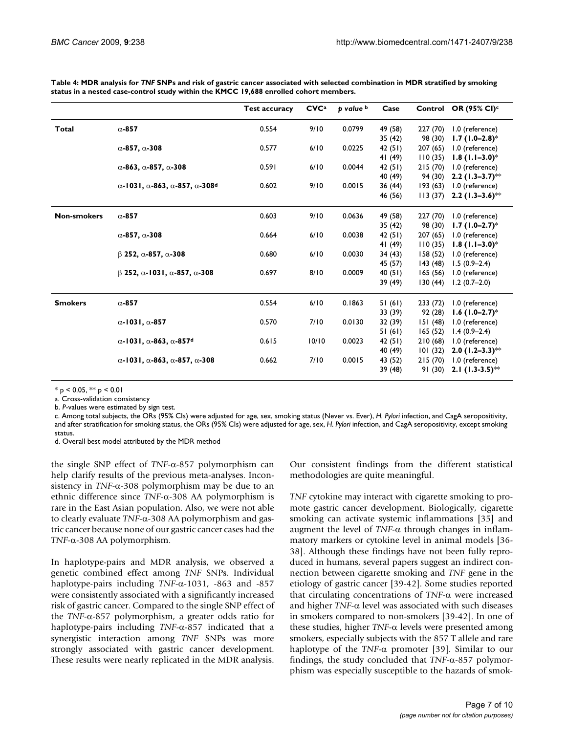|                    |                                                                          | <b>Test accuracy</b> | CVC <sup>a</sup> | p value b | Case    |          | Control OR (95% CI) <sup>c</sup> |
|--------------------|--------------------------------------------------------------------------|----------------------|------------------|-----------|---------|----------|----------------------------------|
| <b>Total</b>       | $\alpha$ -857                                                            | 0.554                | 9/10             | 0.0799    | 49 (58) | 227 (70) | 1.0 (reference)                  |
|                    |                                                                          |                      |                  |           | 35 (42) | 98 (30)  | $1.7(1.0-2.8)$ *                 |
|                    | $\alpha$ -857, $\alpha$ -308                                             | 0.577                | 6/10             | 0.0225    | 42(51)  | 207(65)  | 1.0 (reference)                  |
|                    |                                                                          |                      |                  |           | 41(49)  | 110(35)  | $1.8(1.1-3.0)$ *                 |
|                    | $\alpha$ -863, $\alpha$ -857, $\alpha$ -308                              | 0.591                | 6/10             | 0.0044    | 42(51)  | 215(70)  | 1.0 (reference)                  |
|                    |                                                                          |                      |                  |           | 40 (49) | 94 (30)  | $2.2$ (1.3–3.7)**                |
|                    | $\alpha$ -1031, $\alpha$ -863, $\alpha$ -857, $\alpha$ -308 <sup>d</sup> | 0.602                | 9/10             | 0.0015    | 36(44)  | 193(63)  | 1.0 (reference)                  |
|                    |                                                                          |                      |                  |           | 46 (56) | 113(37)  | 2.2 $(1.3-3.6)$ **               |
| <b>Non-smokers</b> | $\alpha$ -857                                                            | 0.603                | 9/10             | 0.0636    | 49 (58) | 227 (70) | 1.0 (reference)                  |
|                    |                                                                          |                      |                  |           | 35(42)  | 98 (30)  | $1.7(1.0-2.7)^*$                 |
|                    | $\alpha$ -857, $\alpha$ -308                                             | 0.664                | 6/10             | 0.0038    | 42(51)  | 207(65)  | 1.0 (reference)                  |
|                    |                                                                          |                      |                  |           | 41 (49) | 110(35)  | $1.8(1.1-3.0)$ *                 |
|                    | $\beta$ 252, $\alpha$ -857, $\alpha$ -308                                | 0.680                | 6/10             | 0.0030    | 34(43)  | 158 (52) | 1.0 (reference)                  |
|                    |                                                                          |                      |                  |           | 45 (57) | 143 (48) | $1.5(0.9-2.4)$                   |
|                    | $\beta$ 252, $\alpha$ -1031, $\alpha$ -857, $\alpha$ -308                | 0.697                | 8/10             | 0.0009    | 40(51)  | 165(56)  | 1.0 (reference)                  |
|                    |                                                                          |                      |                  |           | 39 (49) | 130(44)  | $1.2(0.7-2.0)$                   |
| <b>Smokers</b>     | $\alpha$ -857                                                            | 0.554                | 6/10             | 0.1863    | 51(61)  | 233(72)  | 1.0 (reference)                  |
|                    |                                                                          |                      |                  |           | 33 (39) | 92 (28)  | $1.6$ (1.0–2.7) <sup>*</sup>     |
|                    | $\alpha$ -1031, $\alpha$ -857                                            | 0.570                | 7/10             | 0.0130    | 32 (39) | 151(48)  | 1.0 (reference)                  |
|                    |                                                                          |                      |                  |           | 51(61)  | 165(52)  | $1.4(0.9-2.4)$                   |
|                    | $\alpha$ -1031, $\alpha$ -863, $\alpha$ -857 <sup>d</sup>                | 0.615                | 10/10            | 0.0023    | 42(51)  | 210(68)  | 1.0 (reference)                  |
|                    |                                                                          |                      |                  |           | 40 (49) | 101(32)  | 2.0 $(1.2-3.3)$ **               |
|                    | $\alpha$ -1031, $\alpha$ -863, $\alpha$ -857, $\alpha$ -308              | 0.662                | 7/10             | 0.0015    | 43 (52) | 215(70)  | 1.0 (reference)                  |
|                    |                                                                          |                      |                  |           | 39 (48) | 91(30)   | 2.1 $(1.3-3.5)$ **               |

**Table 4: MDR analysis for** *TNF* **SNPs and risk of gastric cancer associated with selected combination in MDR stratified by smoking status in a nested case-control study within the KMCC 19,688 enrolled cohort members.**

 $*$  p < 0.05,  $**$  p < 0.01

a. Cross-validation consistency

b. *P*-values were estimated by sign test.

c. Among total subjects, the ORs (95% CIs) were adjusted for age, sex, smoking status (Never vs. Ever), *H. Pylori* infection, and CagA seropositivity, and after stratification for smoking status, the ORs (95% CIs) were adjusted for age, sex, *H. Pylori* infection, and CagA seropositivity, except smoking status.

d. Overall best model attributed by the MDR method

the single SNP effect of *TNF*-α-857 polymorphism can help clarify results of the previous meta-analyses. Inconsistency in  $TNF$ - $\alpha$ -308 polymorphism may be due to an ethnic difference since *TNF*-α-308 AA polymorphism is rare in the East Asian population. Also, we were not able to clearly evaluate *TNF*-α-308 AA polymorphism and gastric cancer because none of our gastric cancer cases had the *TNF*-α-308 AA polymorphism.

In haplotype-pairs and MDR analysis, we observed a genetic combined effect among *TNF* SNPs. Individual haplotype-pairs including *TNF*-α-1031, -863 and -857 were consistently associated with a significantly increased risk of gastric cancer. Compared to the single SNP effect of the *TNF*-α-857 polymorphism, a greater odds ratio for haplotype-pairs including *TNF*-α-857 indicated that a synergistic interaction among *TNF* SNPs was more strongly associated with gastric cancer development. These results were nearly replicated in the MDR analysis.

Our consistent findings from the different statistical methodologies are quite meaningful.

*TNF* cytokine may interact with cigarette smoking to promote gastric cancer development. Biologically, cigarette smoking can activate systemic inflammations [35] and augment the level of *TNF*-α through changes in inflammatory markers or cytokine level in animal models [36- 38]. Although these findings have not been fully reproduced in humans, several papers suggest an indirect connection between cigarette smoking and *TNF* gene in the etiology of gastric cancer [39-42]. Some studies reported that circulating concentrations of *TNF*-α were increased and higher *TNF*-α level was associated with such diseases in smokers compared to non-smokers [39-42]. In one of these studies, higher *TNF*-α levels were presented among smokers, especially subjects with the 857 T allele and rare haplotype of the *TNF*-α promoter [39]. Similar to our findings, the study concluded that *TNF*-α-857 polymorphism was especially susceptible to the hazards of smok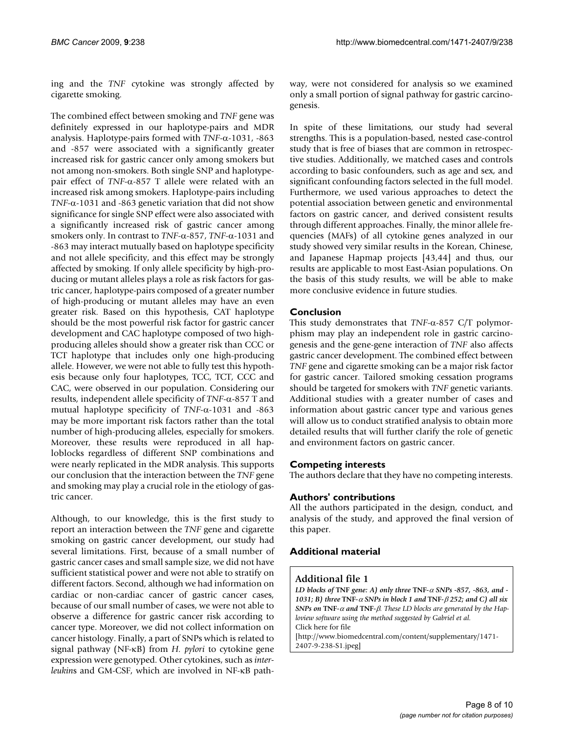ing and the *TNF* cytokine was strongly affected by cigarette smoking.

The combined effect between smoking and *TNF* gene was definitely expressed in our haplotype-pairs and MDR analysis. Haplotype-pairs formed with *TNF*-α-1031, -863 and -857 were associated with a significantly greater increased risk for gastric cancer only among smokers but not among non-smokers. Both single SNP and haplotypepair effect of *TNF*-α-857 T allele were related with an increased risk among smokers. Haplotype-pairs including *TNF*-α-1031 and -863 genetic variation that did not show significance for single SNP effect were also associated with a significantly increased risk of gastric cancer among smokers only. In contrast to *TNF*-α-857, *TNF*-α-1031 and -863 may interact mutually based on haplotype specificity and not allele specificity, and this effect may be strongly affected by smoking. If only allele specificity by high-producing or mutant alleles plays a role as risk factors for gastric cancer, haplotype-pairs composed of a greater number of high-producing or mutant alleles may have an even greater risk. Based on this hypothesis, CAT haplotype should be the most powerful risk factor for gastric cancer development and CAC haplotype composed of two highproducing alleles should show a greater risk than CCC or TCT haplotype that includes only one high-producing allele. However, we were not able to fully test this hypothesis because only four haplotypes, TCC, TCT, CCC and CAC, were observed in our population. Considering our results, independent allele specificity of *TNF*-α-857 T and mutual haplotype specificity of *TNF*-α-1031 and -863 may be more important risk factors rather than the total number of high-producing alleles, especially for smokers. Moreover, these results were reproduced in all haploblocks regardless of different SNP combinations and were nearly replicated in the MDR analysis. This supports our conclusion that the interaction between the *TNF* gene and smoking may play a crucial role in the etiology of gastric cancer.

Although, to our knowledge, this is the first study to report an interaction between the *TNF* gene and cigarette smoking on gastric cancer development, our study had several limitations. First, because of a small number of gastric cancer cases and small sample size, we did not have sufficient statistical power and were not able to stratify on different factors. Second, although we had information on cardiac or non-cardiac cancer of gastric cancer cases, because of our small number of cases, we were not able to observe a difference for gastric cancer risk according to cancer type. Moreover, we did not collect information on cancer histology. Finally, a part of SNPs which is related to signal pathway (NF-κB) from *H. pylori* to cytokine gene expression were genotyped. Other cytokines, such as *interleukin*s and GM-CSF, which are involved in NF-κB pathway, were not considered for analysis so we examined only a small portion of signal pathway for gastric carcinogenesis.

In spite of these limitations, our study had several strengths. This is a population-based, nested case-control study that is free of biases that are common in retrospective studies. Additionally, we matched cases and controls according to basic confounders, such as age and sex, and significant confounding factors selected in the full model. Furthermore, we used various approaches to detect the potential association between genetic and environmental factors on gastric cancer, and derived consistent results through different approaches. Finally, the minor allele frequencies (MAFs) of all cytokine genes analyzed in our study showed very similar results in the Korean, Chinese, and Japanese Hapmap projects [43,44] and thus, our results are applicable to most East-Asian populations. On the basis of this study results, we will be able to make more conclusive evidence in future studies.

# **Conclusion**

This study demonstrates that *TNF*-α-857 C/T polymorphism may play an independent role in gastric carcinogenesis and the gene-gene interaction of *TNF* also affects gastric cancer development. The combined effect between *TNF* gene and cigarette smoking can be a major risk factor for gastric cancer. Tailored smoking cessation programs should be targeted for smokers with *TNF* genetic variants. Additional studies with a greater number of cases and information about gastric cancer type and various genes will allow us to conduct stratified analysis to obtain more detailed results that will further clarify the role of genetic and environment factors on gastric cancer.

# **Competing interests**

The authors declare that they have no competing interests.

# **Authors' contributions**

All the authors participated in the design, conduct, and analysis of the study, and approved the final version of this paper.

# **Additional material**

### **Additional file 1**

*LD blocks of* **TNF** *gene: A) only three* **TNF***-*α *SNPs -857, -863, and - 1031; B) three* **TNF***-*α *SNPs in block 1 and* **TNF***-*β *252; and C) all six SNPs on* **TNF***-*α *and* **TNF***-*β*. These LD blocks are generated by the Haploview software using the method suggested by Gabriel et al.* Click here for file [\[http://www.biomedcentral.com/content/supplementary/1471-](http://www.biomedcentral.com/content/supplementary/1471-2407-9-238-S1.jpeg) 2407-9-238-S1.jpeg]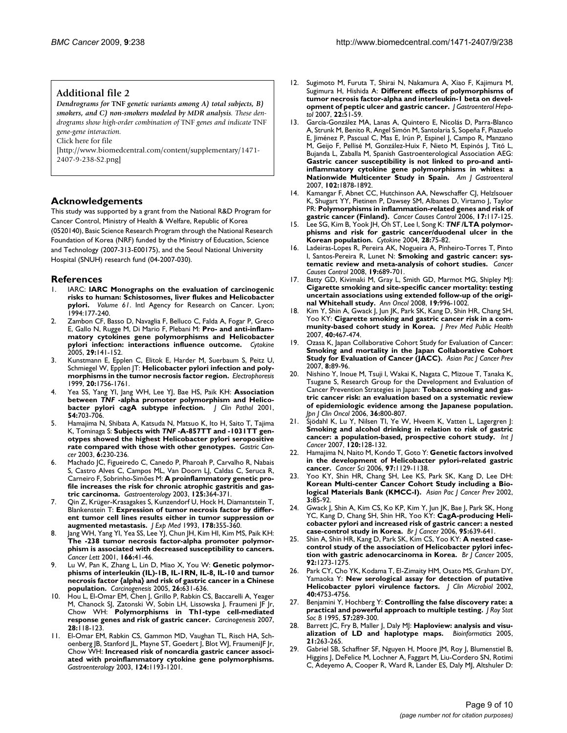#### **Additional file 2**

*Dendrograms for* **TNF** *genetic variants among A) total subjects, B) smokers, and C) non-smokers modeled by MDR analysis. These dendrograms show high-order combination of* TNF *genes and indicate* TNF *gene-gene interaction.*

Click here for file

[\[http://www.biomedcentral.com/content/supplementary/1471-](http://www.biomedcentral.com/content/supplementary/1471-2407-9-238-S2.png) 2407-9-238-S2.png]

#### **Acknowledgements**

This study was supported by a grant from the National R&D Program for Cancer Control, Ministry of Health & Welfare, Republic of Korea (0520140), Basic Science Research Program through the National Research Foundation of Korea (NRF) funded by the Ministry of Education, Science and Technology (2007-313-E00175), and the Seoul National University Hospital (SNUH) research fund (04-2007-030).

#### **References**

- 1. IARC: **IARC Monographs on the evaluation of carcinogenic risks to human: Schistosomes, liver flukes and Helicobacter pylori.** *Volume 61*. Intl Agency for Research on Cancer. Lyon; 1994:177-240.
- 2. Zambon CF, Basso D, Navaglia F, Belluco C, Falda A, Fogar P, Greco E, Gallo N, Rugge M, Di Mario F, Plebani M: **[Pro- and anti-inflam](http://www.ncbi.nlm.nih.gov/entrez/query.fcgi?cmd=Retrieve&db=PubMed&dopt=Abstract&list_uids=15652446)[matory cytokines gene polymorphisms and Helicobacter](http://www.ncbi.nlm.nih.gov/entrez/query.fcgi?cmd=Retrieve&db=PubMed&dopt=Abstract&list_uids=15652446) [pylori infection: interactions influence outcome.](http://www.ncbi.nlm.nih.gov/entrez/query.fcgi?cmd=Retrieve&db=PubMed&dopt=Abstract&list_uids=15652446)** *Cytokine* 2005, **29:**141-152.
- 3. Kunstmann E, Epplen C, Elitok E, Harder M, Suerbaum S, Peitz U, Schmiegel W, Epplen JT: **[Helicobacter pylori infection and poly](http://www.ncbi.nlm.nih.gov/entrez/query.fcgi?cmd=Retrieve&db=PubMed&dopt=Abstract&list_uids=10435444)[morphisms in the tumor necrosis factor region.](http://www.ncbi.nlm.nih.gov/entrez/query.fcgi?cmd=Retrieve&db=PubMed&dopt=Abstract&list_uids=10435444)** *Electrophoresis* 1999, **20:**1756-1761.
- 4. Yea SS, Yang YI, Jang WH, Lee YJ, Bae HS, Paik KH: **Association between** *TNF* **[-alpha promoter polymorphism and Helico](http://www.ncbi.nlm.nih.gov/entrez/query.fcgi?cmd=Retrieve&db=PubMed&dopt=Abstract&list_uids=11533078)[bacter pylori cagA subtype infection.](http://www.ncbi.nlm.nih.gov/entrez/query.fcgi?cmd=Retrieve&db=PubMed&dopt=Abstract&list_uids=11533078)** *J Clin Pathol* 2001, **54:**703-706.
- 5. Hamajima N, Shibata A, Katsuda N, Matsuo K, Ito H, Saito T, Tajima K, Tominaga S: **Subjects with** *TNF* **[-A-857TT and -1031TT gen](http://www.ncbi.nlm.nih.gov/entrez/query.fcgi?cmd=Retrieve&db=PubMed&dopt=Abstract&list_uids=14716517)[otypes showed the highest Helicobacter pylori seropositive](http://www.ncbi.nlm.nih.gov/entrez/query.fcgi?cmd=Retrieve&db=PubMed&dopt=Abstract&list_uids=14716517) [rate compared with those with other genotypes.](http://www.ncbi.nlm.nih.gov/entrez/query.fcgi?cmd=Retrieve&db=PubMed&dopt=Abstract&list_uids=14716517)** *Gastric Cancer* 2003, **6:**230-236.
- Machado JC, Figueiredo C, Canedo P, Pharoah P, Carvalho R, Nabais S, Castro Alves C, Campos ML, Van Doorn LJ, Caldas C, Seruca R, Carneiro F, Sobrinho-Simões M: **[A proinflammatory genetic pro](http://www.ncbi.nlm.nih.gov/entrez/query.fcgi?cmd=Retrieve&db=PubMed&dopt=Abstract&list_uids=12891537)[file increases the risk for chronic atrophic gastritis and gas](http://www.ncbi.nlm.nih.gov/entrez/query.fcgi?cmd=Retrieve&db=PubMed&dopt=Abstract&list_uids=12891537)[tric carcinoma.](http://www.ncbi.nlm.nih.gov/entrez/query.fcgi?cmd=Retrieve&db=PubMed&dopt=Abstract&list_uids=12891537)** *Gastroenterology* 2003, **125:**364-371.
- Qin Z, Krüger-Krasagakes S, Kunzendorf U, Hock H, Diamantstein T, Blankenstein T: **[Expression of tumor necrosis factor by differ](http://www.ncbi.nlm.nih.gov/entrez/query.fcgi?cmd=Retrieve&db=PubMed&dopt=Abstract&list_uids=8315391)[ent tumor cell lines results either in tumor suppression or](http://www.ncbi.nlm.nih.gov/entrez/query.fcgi?cmd=Retrieve&db=PubMed&dopt=Abstract&list_uids=8315391) [augmented metastasis.](http://www.ncbi.nlm.nih.gov/entrez/query.fcgi?cmd=Retrieve&db=PubMed&dopt=Abstract&list_uids=8315391)** *J Exp Med* 1993, **178:**355-360.
- 8. Jang WH, Yang YI, Yea SS, Lee YJ, Chun JH, Kim HI, Kim MS, Paik KH: **[The -238 tumor necrosis factor-alpha promoter polymor](http://www.ncbi.nlm.nih.gov/entrez/query.fcgi?cmd=Retrieve&db=PubMed&dopt=Abstract&list_uids=11295285)phism is associated with decreased susceptibility to cancers.** *Cancer Lett* 2001, **166:**41-46.
- 9. Lu W, Pan K, Zhang L, Lin D, Miao X, You W: **[Genetic polymor](http://www.ncbi.nlm.nih.gov/entrez/query.fcgi?cmd=Retrieve&db=PubMed&dopt=Abstract&list_uids=15579481)[phisms of interleukin \(IL\)-1B, IL-1RN, IL-8, IL-10 and tumor](http://www.ncbi.nlm.nih.gov/entrez/query.fcgi?cmd=Retrieve&db=PubMed&dopt=Abstract&list_uids=15579481) necrosis factor {alpha} and risk of gastric cancer in a Chinese [population.](http://www.ncbi.nlm.nih.gov/entrez/query.fcgi?cmd=Retrieve&db=PubMed&dopt=Abstract&list_uids=15579481)** *Carcinogenesis* 2005, **26:**631-636.
- 10. Hou L, El-Omar EM, Chen J, Grillo P, Rabkin CS, Baccarelli A, Yeager M, Chanock SJ, Zatonski W, Sobin LH, Lissowska J, Fraumeni JF Jr, Chow WH: **[Polymorphisms in Th1-type cell-mediated](http://www.ncbi.nlm.nih.gov/entrez/query.fcgi?cmd=Retrieve&db=PubMed&dopt=Abstract&list_uids=16885196) [response genes and risk of gastric cancer.](http://www.ncbi.nlm.nih.gov/entrez/query.fcgi?cmd=Retrieve&db=PubMed&dopt=Abstract&list_uids=16885196)** *Carcinogenesis* 2007, **28:**118-123.
- 11. El-Omar EM, Rabkin CS, Gammon MD, Vaughan TL, Risch HA, Schoenberg JB, Stanford JL, Mayne ST, Goedert J, Blot WJ, FraumeniJF Jr, Chow WH: **[Increased risk of noncardia gastric cancer associ](http://www.ncbi.nlm.nih.gov/entrez/query.fcgi?cmd=Retrieve&db=PubMed&dopt=Abstract&list_uids=12730860)[ated with proinflammatory cytokine gene polymorphisms.](http://www.ncbi.nlm.nih.gov/entrez/query.fcgi?cmd=Retrieve&db=PubMed&dopt=Abstract&list_uids=12730860)** *Gastroenterology* 2003, **124:**1193-1201.
- 12. Sugimoto M, Furuta T, Shirai N, Nakamura A, Xiao F, Kajimura M, Sugimura H, Hishida A: **[Different effects of polymorphisms of](http://www.ncbi.nlm.nih.gov/entrez/query.fcgi?cmd=Retrieve&db=PubMed&dopt=Abstract&list_uids=17201881) [tumor necrosis factor-alpha and interleukin-1 beta on devel](http://www.ncbi.nlm.nih.gov/entrez/query.fcgi?cmd=Retrieve&db=PubMed&dopt=Abstract&list_uids=17201881)[opment of peptic ulcer and gastric cancer.](http://www.ncbi.nlm.nih.gov/entrez/query.fcgi?cmd=Retrieve&db=PubMed&dopt=Abstract&list_uids=17201881)** *J Gastroenterol Hepatol* 2007, **22:**51-59.
- 13. García-González MA, Lanas A, Quintero E, Nicolás D, Parra-Blanco A, Strunk M, Benito R, Angel Simón M, Santolaria S, Sopeña F, Piazuelo E, Jiménez P, Pascual C, Mas E, Irún P, Espinel J, Campo R, Manzano M, Geijo F, Pellisé M, González-Huix F, Nieto M, Espinós J, Titó L, Bujanda L, Zaballa M, Spanish Gastroenterological Association AEG: **[Gastric cancer susceptibility is not linked to pro-and anti](http://www.ncbi.nlm.nih.gov/entrez/query.fcgi?cmd=Retrieve&db=PubMed&dopt=Abstract&list_uids=17640324)inflammatory cytokine gene polymorphisms in whites: a [Nationwide Multicenter Study in Spain.](http://www.ncbi.nlm.nih.gov/entrez/query.fcgi?cmd=Retrieve&db=PubMed&dopt=Abstract&list_uids=17640324)** *Am J Gastroenterol* 2007, **102:**1878-1892.
- 14. Kamangar F, Abnet CC, Hutchinson AA, Newschaffer CJ, Helzlsouer K, Shugart YY, Pietinen P, Dawsey SM, Albanes D, Virtamo J, Taylor PR: **[Polymorphisms in inflammation-related genes and risk of](http://www.ncbi.nlm.nih.gov/entrez/query.fcgi?cmd=Retrieve&db=PubMed&dopt=Abstract&list_uids=16411061) [gastric cancer \(Finland\).](http://www.ncbi.nlm.nih.gov/entrez/query.fcgi?cmd=Retrieve&db=PubMed&dopt=Abstract&list_uids=16411061)** *Cancer Causes Control* 2006, **17:**117-125.
- 15. Lee SG, Kim B, Yook JH, Oh ST, Lee I, Song K: *TNF* **[/LTA polymor](http://www.ncbi.nlm.nih.gov/entrez/query.fcgi?cmd=Retrieve&db=PubMed&dopt=Abstract&list_uids=15381184)[phisms and risk for gastric cancer/duodenal ulcer in the](http://www.ncbi.nlm.nih.gov/entrez/query.fcgi?cmd=Retrieve&db=PubMed&dopt=Abstract&list_uids=15381184) [Korean population.](http://www.ncbi.nlm.nih.gov/entrez/query.fcgi?cmd=Retrieve&db=PubMed&dopt=Abstract&list_uids=15381184)** *Cytokine* 2004, **28:**75-82.
- 16. Ladeiras-Lopes R, Pereira AK, Nogueira A, Pinheiro-Torres T, Pinto I, Santos-Pereira R, Lunet N: **[Smoking and gastric cancer: sys](http://www.ncbi.nlm.nih.gov/entrez/query.fcgi?cmd=Retrieve&db=PubMed&dopt=Abstract&list_uids=18293090)[tematic review and meta-analysis of cohort studies.](http://www.ncbi.nlm.nih.gov/entrez/query.fcgi?cmd=Retrieve&db=PubMed&dopt=Abstract&list_uids=18293090)** *Cancer Causes Control* 2008, **19:**689-701.
- 17. Batty GD, Kivimaki M, Gray L, Smith GD, Marmot MG, Shipley MJ: **[Cigarette smoking and site-specific cancer mortality: testing](http://www.ncbi.nlm.nih.gov/entrez/query.fcgi?cmd=Retrieve&db=PubMed&dopt=Abstract&list_uids=18212091) uncertain associations using extended follow-up of the origi[nal Whitehall study.](http://www.ncbi.nlm.nih.gov/entrez/query.fcgi?cmd=Retrieve&db=PubMed&dopt=Abstract&list_uids=18212091)** *Ann Oncol* 2008, **19:**996-1002.
- 18. Kim Y, Shin A, Gwack J, Jun JK, Park SK, Kang D, Shin HR, Chang SH, Yoo KY: **[Cigarette smoking and gastric cancer risk in a com](http://www.ncbi.nlm.nih.gov/entrez/query.fcgi?cmd=Retrieve&db=PubMed&dopt=Abstract&list_uids=18063902)[munity-based cohort study in Korea.](http://www.ncbi.nlm.nih.gov/entrez/query.fcgi?cmd=Retrieve&db=PubMed&dopt=Abstract&list_uids=18063902)** *J Prev Med Public Health* 2007, **40:**467-474.
- 19. Ozasa K, Japan Collaborative Cohort Study for Evaluation of Cancer: **[Smoking and mortality in the Japan Collaborative Cohort](http://www.ncbi.nlm.nih.gov/entrez/query.fcgi?cmd=Retrieve&db=PubMed&dopt=Abstract&list_uids=18260707) [Study for Evaluation of Cancer \(JACC\).](http://www.ncbi.nlm.nih.gov/entrez/query.fcgi?cmd=Retrieve&db=PubMed&dopt=Abstract&list_uids=18260707)** *Asian Pac J Cancer Prev* 2007, **8:**89-96.
- 20. Nishino Y, Inoue M, Tsuji I, Wakai K, Nagata C, Mizoue T, Tanaka K, Tsugane S, Research Group for the Development and Evaluation of Cancer Prevention Strategies in Japan: **[Tobacco smoking and gas](http://www.ncbi.nlm.nih.gov/entrez/query.fcgi?cmd=Retrieve&db=PubMed&dopt=Abstract&list_uids=17210611)[tric cancer risk: an evaluation based on a systematic review](http://www.ncbi.nlm.nih.gov/entrez/query.fcgi?cmd=Retrieve&db=PubMed&dopt=Abstract&list_uids=17210611) of epidemiologic evidence among the Japanese population.** *Jpn J Clin Oncol* 2006, **36:**800-807.
- 21. Sjödahl K, Lu Y, Nilsen TI, Ye W, Hveem K, Vatten L, Lagergren J: **[Smoking and alcohol drinking in relation to risk of gastric](http://www.ncbi.nlm.nih.gov/entrez/query.fcgi?cmd=Retrieve&db=PubMed&dopt=Abstract&list_uids=17036324) [cancer: a population-based, prospective cohort study.](http://www.ncbi.nlm.nih.gov/entrez/query.fcgi?cmd=Retrieve&db=PubMed&dopt=Abstract&list_uids=17036324)** *Int J Cancer* 2007, **120:**128-132.
- Hamajima N, Naito M, Kondo T, Goto Y: [Genetic factors involved](http://www.ncbi.nlm.nih.gov/entrez/query.fcgi?cmd=Retrieve&db=PubMed&dopt=Abstract&list_uids=16879717) **[in the development of Helicobacter pylori-related gastric](http://www.ncbi.nlm.nih.gov/entrez/query.fcgi?cmd=Retrieve&db=PubMed&dopt=Abstract&list_uids=16879717) [cancer.](http://www.ncbi.nlm.nih.gov/entrez/query.fcgi?cmd=Retrieve&db=PubMed&dopt=Abstract&list_uids=16879717)** *Cancer Sci* 2006, **97:**1129-1138.
- 23. Yoo KY, Shin HR, Chang SH, Lee KS, Park SK, Kang D, Lee DH: **[Korean Multi-center Cancer Cohort Study including a Bio](http://www.ncbi.nlm.nih.gov/entrez/query.fcgi?cmd=Retrieve&db=PubMed&dopt=Abstract&list_uids=12718614)[logical Materials Bank \(KMCC-I\).](http://www.ncbi.nlm.nih.gov/entrez/query.fcgi?cmd=Retrieve&db=PubMed&dopt=Abstract&list_uids=12718614)** *Asian Pac J Cancer Prev* 2002, **3:**85-92.
- 24. Gwack J, Shin A, Kim CS, Ko KP, Kim Y, Jun JK, Bae J, Park SK, Hong YC, Kang D, Chang SH, Shin HR, Yoo KY: **[CagA-producing Heli](http://www.ncbi.nlm.nih.gov/entrez/query.fcgi?cmd=Retrieve&db=PubMed&dopt=Abstract&list_uids=16909137)[cobacter pylori and increased risk of gastric cancer: a nested](http://www.ncbi.nlm.nih.gov/entrez/query.fcgi?cmd=Retrieve&db=PubMed&dopt=Abstract&list_uids=16909137) [case-control study in Korea.](http://www.ncbi.nlm.nih.gov/entrez/query.fcgi?cmd=Retrieve&db=PubMed&dopt=Abstract&list_uids=16909137)** *Br J Cancer* 2006, **95:**639-641.
- 25. Shin A, Shin HR, Kang D, Park SK, Kim CS, Yoo KY: **[A nested case](http://www.ncbi.nlm.nih.gov/entrez/query.fcgi?cmd=Retrieve&db=PubMed&dopt=Abstract&list_uids=15756269)[control study of the association of Helicobacter pylori infec](http://www.ncbi.nlm.nih.gov/entrez/query.fcgi?cmd=Retrieve&db=PubMed&dopt=Abstract&list_uids=15756269)[tion with gastric adenocarcinoma in Korea.](http://www.ncbi.nlm.nih.gov/entrez/query.fcgi?cmd=Retrieve&db=PubMed&dopt=Abstract&list_uids=15756269)** *Br J Cancer* 2005, **92:**1273-1275.
- Park CY, Cho YK, Kodama T, El-Zimaity HM, Osato MS, Graham DY, Yamaoka Y: **[New serological assay for detection of putative](http://www.ncbi.nlm.nih.gov/entrez/query.fcgi?cmd=Retrieve&db=PubMed&dopt=Abstract&list_uids=12454187) [Helicobacter pylori virulence factors.](http://www.ncbi.nlm.nih.gov/entrez/query.fcgi?cmd=Retrieve&db=PubMed&dopt=Abstract&list_uids=12454187)** *J Clin Microbiol* 2002, **40:**4753-4756.
- 27. Benjamini Y, Hochberg Y: **Controlling the false discovery rate: a practical and powerful approach to multiple testing.** *J Roy Stat Soc B* 1995, **57:**289-300.
- 28. Barrett JC, Fry B, Maller J, Daly MJ: **[Haploview: analysis and visu](http://www.ncbi.nlm.nih.gov/entrez/query.fcgi?cmd=Retrieve&db=PubMed&dopt=Abstract&list_uids=15297300)[alization of LD and haplotype maps.](http://www.ncbi.nlm.nih.gov/entrez/query.fcgi?cmd=Retrieve&db=PubMed&dopt=Abstract&list_uids=15297300)** *Bioinformatics* 2005, **21:**263-265.
- 29. Gabriel SB, Schaffner SF, Nguyen H, Moore JM, Roy J, Blumenstiel B, Higgins J, DeFelice M, Lochner A, Faggart M, Liu-Cordero SN, Rotimi C, Adeyemo A, Cooper R, Ward R, Lander ES, Daly MJ, Altshuler D: